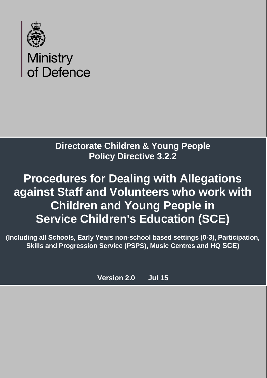

## **Directorate Children & Young People Policy Directive 3.2.2**

# **Procedures for Dealing with Allegations against Staff and Volunteers who work with Children and Young People in Service Children's Education (SCE)**

**(Including all Schools, Early Years non-school based settings (0-3), Participation, Skills and Progression Service (PSPS), Music Centres and HQ SCE)**

**Version 2.0 Jul 15**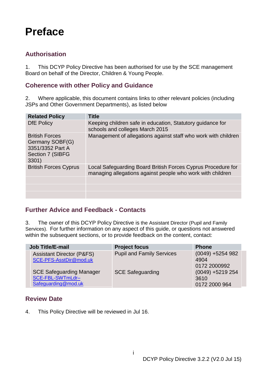## <span id="page-1-0"></span>**Preface**

#### <span id="page-1-1"></span>**Authorisation**

1. This DCYP Policy Directive has been authorised for use by the SCE management Board on behalf of the Director, Children & Young People.

#### <span id="page-1-2"></span>**Coherence with other Policy and Guidance**

2. Where applicable, this document contains links to other relevant policies (including JSPs and Other Government Departments), as listed below

| <b>Related Policy</b>                                                                     | <b>Title</b>                                                                                                               |
|-------------------------------------------------------------------------------------------|----------------------------------------------------------------------------------------------------------------------------|
| <b>DfE Policy</b>                                                                         | Keeping children safe in education, Statutory guidance for<br>schools and colleges March 2015                              |
| <b>British Forces</b><br>Germany SOBF(G)<br>3351/3352 Part A<br>Section 7 (SIBFG<br>3301) | Management of allegations against staff who work with children                                                             |
| <b>British Forces Cyprus</b>                                                              | Local Safeguarding Board British Forces Cyprus Procedure for<br>managing allegations against people who work with children |
|                                                                                           |                                                                                                                            |
|                                                                                           |                                                                                                                            |
|                                                                                           |                                                                                                                            |

#### <span id="page-1-3"></span>**Further Advice and Feedback - Contacts**

3. The owner of this DCYP Policy Directive is the Assistant Director (Pupil and Family Services). For further information on any aspect of this guide, or questions not answered within the subsequent sections, or to provide feedback on the content, contact:

| Job Title/E-mail                                                           | <b>Project focus</b>             | <b>Phone</b>                                |
|----------------------------------------------------------------------------|----------------------------------|---------------------------------------------|
| <b>Assistant Director (P&amp;FS)</b><br>SCE-PFS-AsstDir@mod.uk             | <b>Pupil and Family Services</b> | $(0049) + 5254982$<br>4904<br>0172 2000992  |
| <b>SCE Safeguarding Manager</b><br>SCE-FBL-SWTmLdr-<br>Safeguarding@mod.uk | <b>SCE Safeguarding</b>          | $(0049) + 5219254$<br>3610<br>0172 2000 964 |

#### <span id="page-1-4"></span>**Review Date**

4. This Policy Directive will be reviewed in Jul 16.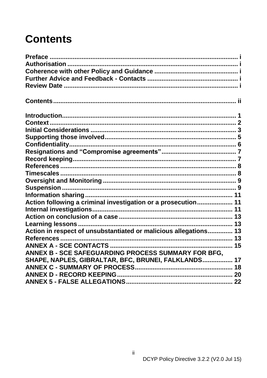## <span id="page-2-0"></span>**Contents**

| Action following a criminal investigation or a prosecution 11    |  |
|------------------------------------------------------------------|--|
|                                                                  |  |
|                                                                  |  |
|                                                                  |  |
| Action in respect of unsubstantiated or malicious allegations 13 |  |
|                                                                  |  |
|                                                                  |  |
| <b>ANNEX B - SCE SAFEGUARDING PROCESS SUMMARY FOR BFG.</b>       |  |
| SHAPE, NAPLES, GIBRALTAR, BFC, BRUNEI, FALKLANDS 17              |  |
|                                                                  |  |
|                                                                  |  |
|                                                                  |  |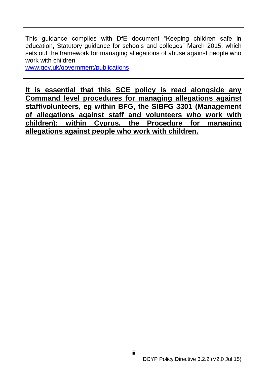This guidance complies with DfE document "Keeping children safe in education, Statutory guidance for schools and colleges" March 2015, which sets out the framework for managing allegations of abuse against people who work with children

www.gov.uk/government/publications

**It is essential that this SCE policy is read alongside any Command level procedures for managing allegations against staff/volunteers, eg within BFG, the SIBFG 3301 (Management of allegations against staff and volunteers who work with children); within Cyprus, the Procedure for managing allegations against people who work with children.**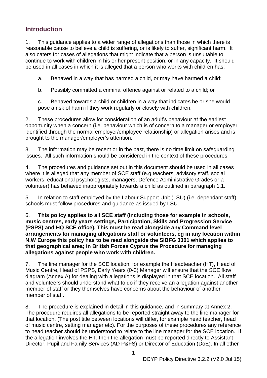## <span id="page-4-0"></span>**Introduction**

1. This guidance applies to a wider range of allegations than those in which there is reasonable cause to believe a child is suffering, or is likely to suffer, significant harm. It also caters for cases of allegations that might indicate that a person is unsuitable to continue to work with children in his or her present position, or in any capacity. It should be used in all cases in which it is alleged that a person who works with children has:

a. Behaved in a way that has harmed a child, or may have harmed a child;

b. Possibly committed a criminal offence against or related to a child; or

c. Behaved towards a child or children in a way that indicates he or she would pose a risk of harm if they work regularly or closely with children.

2. These procedures allow for consideration of an adult's behaviour at the earliest opportunity when a concern (i.e. behaviour which is of concern to a manager or employer, identified through the normal employer/employee relationship) or allegation arises and is brought to the manager/employer's attention.

3. The information may be recent or in the past, there is no time limit on safeguarding issues. All such information should be considered in the context of these procedures.

4. The procedures and guidance set out in this document should be used in all cases where it is alleged that any member of SCE staff (e.g teachers, advisory staff, social workers, educational psychologists, managers, Defence Administrative Grades or a volunteer) has behaved inappropriately towards a child as outlined in paragraph 1.1.

5. In relation to staff employed by the Labour Support Unit (LSU) (i.e. dependant staff) schools must follow procedures and guidance as issued by LSU.

6. **This policy applies to all SCE staff (including those for example in schools, music centres, early years settings, Participation, Skills and Progression Service (PSPS) and HQ SCE office). This must be read alongside any Command level arrangements for managing allegations staff or volunteers, eg in any location within N.W Europe this policy has to be read alongside the SIBFG 3301 which applies to that geographical area; in British Forces Cyprus the Procedure for managing allegations against people who work with children.** 

7. The line manager for the SCE location, for example the Headteacher (HT), Head of Music Centre, Head of PSPS, Early Years (0-3) Manager will ensure that the SCE flow diagram (Annex A) for dealing with allegations is displayed in that SCE location. All staff and volunteers should understand what to do if they receive an allegation against another member of staff or they themselves have concerns about the behaviour of another member of staff.

8. The procedure is explained in detail in this guidance, and in summary at Annex 2. The procedure requires all allegations to be reported straight away to the line manager for that location. (The post title between locations will differ, for example head teacher, head of music centre, setting manager etc). For the purposes of these procedures any reference to head teacher should be understood to relate to the line manager for the SCE location. If the allegation involves the HT, then the allegation must be reported directly to Assistant Director, Pupil and Family Services (AD P&FS) or Director of Education (DoE). In all other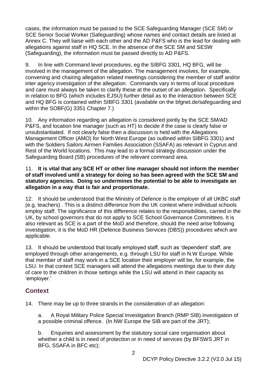cases, the information must be passed to the SCE Safeguarding Manager (SCE SM) or SCE Senior Social Worker (Safeguarding) whose names and contact details are listed at Annex C. They will liaise with each other and the AD P&FS who is the lead for dealing with allegations against staff in HQ SCE. In the absence of the SCE SM and SESW (Safeguarding), the information must be passed directly to AD P&FS.

9. In line with Command level procedures, eg the SIBFG 3301, HQ BFG, will be involved in the management of the allegation. The management involves, for example, convening and chairing allegation related meetings considering the member of staff and/or inter agency investigation of the allegation. Commands vary in terms of local procedure and care must always be taken to clarify these at the outset of an allegation. Specifically in relation to BFG (which includes EJSU) further detail as to the interaction between SCE and HQ BFG is contained within SIBFG 3301 (available on the bfgnet.de/safeguarding and within the SOBF(G) 3351 Chapter 7.)

10. Any information regarding an allegation is considered jointly by the SCE SM/AD P&FS, and location line manager (such as HT) to decide if the case is clearly false or unsubstantiated. If not clearly false then a discussion is held with the Allegations Management Officer (AMO) for North West Europe (as outlined within SIBFG 3301) and with the Soldiers Sailors Airmen Families Association (SSAFA) as relevant in Cyprus and Rest of the World locations. This may lead to a formal strategy discussion under the Safeguarding Board (SB) procedures of the relevant command area.

#### 11. **It is vital that any SCE HT or other line manager should not inform the member of staff involved until a strategy for doing so has been agreed with the SCE SM and statutory agencies. Doing so undermines the potential to be able to investigate an allegation in a way that is fair and proportionate.**

12. It should be understood that the Ministry of Defence is the employer of all UKBC staff (e.g. teachers) . This is a distinct difference from the UK context where individual schools employ staff. The significance of this difference relates to the responsibilities, carried in the UK, by school governors that do not apply to SCE School Governance Committees. It is also relevant as SCE is a part of the MoD and therefore, should the need arise following investigation, it is the MoD HR (Defence Business Services (DBS)) procedures which are applicable.

13. It should be understood that locally employed staff, such as 'dependent' staff, are employed through other arrangements, e.g. through LSU for staff in N.W Europe. While that member of staff may work in a SCE location their employer will be, for example, the LSU. In that context SCE managers will attend the allegations meetings due to their duty of care to the children in those settings while the LSU will attend in their capacity as 'employer.'

## <span id="page-5-0"></span>**Context**

14. There may be up to three strands in the consideration of an allegation:

a. A Royal Military Police Special Investigation Branch (RMP SIB) investigation of a possible criminal offence. (In NW Europe the SIB are part of the JRT);

b. Enquiries and assessment by the statutory social care organisation about whether a child is in need of protection or in need of services (by BFSWS JRT in BFG, SSAFA in BFC etc);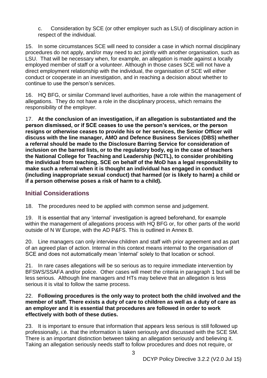c. Consideration by SCE (or other employer such as LSU) of disciplinary action in respect of the individual.

15. In some circumstances SCE will need to consider a case in which normal disciplinary procedures do not apply, and/or may need to act jointly with another organisation, such as LSU. That will be necessary when, for example, an allegation is made against a locally employed member of staff or a volunteer. Although in those cases SCE will not have a direct employment relationship with the individual, the organisation of SCE will either conduct or cooperate in an investigation, and in reaching a decision about whether to continue to use the person's services.

16. HQ BFG, or similar Command level authorities, have a role within the management of allegations. They do not have a role in the disciplinary process, which remains the responsibility of the employer.

17. **At the conclusion of an investigation, if an allegation is substantiated and the person dismissed, or if SCE ceases to use the person's services, or the person resigns or otherwise ceases to provide his or her services, the Senior Officer will discuss with the line manager, AMO and Defence Business Services (DBS) whether a referral should be made to the Disclosure Barring Service for consideration of inclusion on the barred lists, or to the regulatory body, eg in the case of teachers the National College for Teaching and Leadership (NCTL), to consider prohibiting the individual from teaching. SCE on behalf of the MoD has a legal responsibility to make such a referral when it is thought an individual has engaged in conduct (including inappropriate sexual conduct) that harmed (or is likely to harm) a child or if a person otherwise poses a risk of harm to a child).** 

#### <span id="page-6-0"></span>**Initial Considerations**

18. The procedures need to be applied with common sense and judgement.

19. It is essential that any 'internal' investigation is agreed beforehand, for example within the management of allegations process with HQ BFG or, for other parts of the world outside of N W Europe, with the AD P&FS. This is outlined in Annex B.

20. Line managers can only interview children and staff with prior agreement and as part of an agreed plan of action. Internal in this context means internal to the organisation of SCE and does not automatically mean 'internal' solely to that location or school.

21. In rare cases allegations will be so serious as to require immediate intervention by BFSWS/SSAFA and/or police. Other cases will meet the criteria in paragraph 1 but will be less serious. Although line managers and HTs may believe that an allegation is less serious it is vital to follow the same process.

#### 22. **Following procedures is the only way to protect both the child involved and the member of staff. There exists a duty of care to children as well as a duty of care as an employer and it is essential that procedures are followed in order to work effectively with both of these duties.**

23. It is important to ensure that information that appears less serious is still followed up professionally, i.e. that the information is taken seriously and discussed with the SCE SM. There is an important distinction between taking an allegation seriously and believing it. Taking an allegation seriously needs staff to follow procedures and does not require, or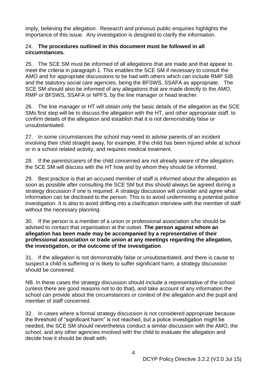imply, believing the allegation. Research and previous public enquiries highlights the importance of this issue. Any investigation is designed to clarify the information.

#### 24. **The procedures outlined in this document must be followed in all circumstances.**

25. The SCE SM must be informed of all allegations that are made and that appear to meet the criteria in paragraph 1. This enables the SCE SM if necessary to consult the AMO and for appropriate discussions to be had with others which can include RMP SIB and the statutory social care agencies, being the BFSWS, SSAFA as appropriate. The SCE SM should also be informed of any allegations that are made directly to the AMO, RMP or BFSWS, SSAFA or NPFS, by the line manager or head teacher.

26. The line manager or HT will obtain only the basic details of the allegation as the SCE SMs first step will be to discuss the allegation with the HT, and other appropriate staff, to confirm details of the allegation and establish that it is not demonstrably false or unsubstantiated.

27. In some circumstances the school may need to advise parents of an incident involving their child straight away, for example, if the child has been injured while at school or in a school related activity, and requires medical treatment.

28. If the parents/carers of the child concerned are not already aware of the allegation, the SCE SM will discuss with the HT how and by whom they should be informed.

29. Best practice is that an accused member of staff is informed about the allegation as soon as possible after consulting the SCE SM but this should always be agreed during a strategy discussion if one is required. A strategy discussion will consider and agree what information can be disclosed to the person. This is to avoid undermining a potential police investigation. It is also to avoid drifting into a clarification interview with the member of staff without the necessary planning.

30. If the person is a member of a union or professional association s/he should be advised to contact that organisation at the outset. **The person against whom an allegation has been made may be accompanied by a representative of their professional association or trade union at any meetings regarding the allegation, the investigation, or the outcome of the investigation**.

31. If the allegation is not demonstrably false or unsubstantiated, and there is cause to suspect a child is suffering or is likely to suffer significant harm, a strategy discussion should be convened.

NB. In these cases the strategy discussion should include a representative of the school (unless there are good reasons not to do that), and take account of any information the school can provide about the circumstances or context of the allegation and the pupil and member of staff concerned.

32. In cases where a formal strategy discussion is not considered appropriate because the threshold of "significant harm" is not reached, but a police investigation might be needed, the SCE SM should nevertheless conduct a similar discussion with the AMO, the school, and any other agencies involved with the child to evaluate the allegation and decide how it should be dealt with.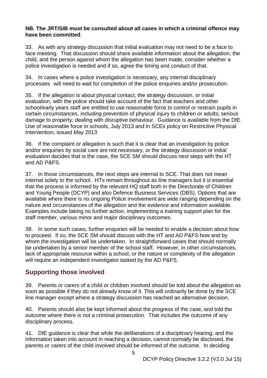#### **NB. The JRT/SIB must be consulted about all cases in which a criminal offence may have been committed**.

33. As with any strategy discussion that initial evaluation may not need to be a face to face meeting. That discussion should share available information about the allegation, the child, and the person against whom the allegation has been made, consider whether a police investigation is needed and if so, agree the timing and conduct of that.

34. In cases where a police investigation is necessary, any internal disciplinary processes will need to wait for completion of the police enquiries and/or prosecution.

35. If the allegation is about physical contact, the strategy discussion, or initial evaluation, with the police should take account of the fact that teachers and other school/early years staff are entitled to use reasonable force to control or restrain pupils in certain circumstances, including prevention of physical injury to children or adults; serious damage to property; dealing with disruptive behaviour. Guidance is available from the DfE Use of reasonable force in schools, July 2013 and in SCEs policy on Restrictive Physical Intervention, issued May 2013

36. If the complaint or allegation is such that it is clear that an investigation by police and/or enquiries by social care are not necessary, or the strategy discussion or initial evaluation decides that is the case, the SCE SM should discuss next steps with the HT and AD P&FS.

37. In those circumstances, the next steps are internal to SCE. That does not mean internal solely to the school. HTs remain throughout as line managers but it is essential that the process is informed by the relevant HQ staff both in the Directorate of Children and Young People (DCYP) and also Defence Business Services (DBS). Options that are available where there is no ongoing Police involvement are wide ranging depending on the nature and circumstances of the allegation and the evidence and information available. Examples include taking no further action, implementing a training support plan for the staff member, various minor and major disciplinary outcomes.

38. In some such cases, further enquiries will be needed to enable a decision about how to proceed. If so, the SCE SM should discuss with the HT and AD P&FS how and by whom the investigation will be undertaken. In straightforward cases that should normally be undertaken by a senior member of the school staff. However, in other circumstances, lack of appropriate resource within a school, or the nature or complexity of the allegation will require an independent investigator tasked by the AD P&FS.

## <span id="page-8-0"></span>**Supporting those involved**

39. Parents or carers of a child or children involved should be told about the allegation as soon as possible if they do not already know of it. This will ordinarily be done by the SCE line manager except where a strategy discussion has reached an alternative decision.

40. Parents should also be kept informed about the progress of the case, and told the outcome where there is not a criminal prosecution. That includes the outcome of any disciplinary process.

41. DfE guidance is clear that while the deliberations of a disciplinary hearing, and the information taken into account in reaching a decision, cannot normally be disclosed, the parents or carers of the child involved should be informed of the outcome. In deciding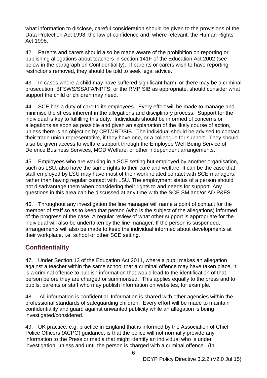what information to disclose, careful consideration should be given to the provisions of the Data Protection Act 1998, the law of confidence and, where relevant, the Human Rights Act 1998.

42. Parents and carers should also be made aware of the prohibition on reporting or publishing allegations about teachers in section 141F of the Education Act 2002 (see below in the paragraph on Confidentiality). If parents or carers wish to have reporting restrictions removed, they should be told to seek legal advice.

43. In cases where a child may have suffered significant harm, or there may be a criminal prosecution, BFSWS/SSAFA/NPFS, or the RMP SIB as appropriate, should consider what support the child or children may need.

44. SCE has a duty of care to its employees. Every effort will be made to manage and minimise the stress inherent in the allegations and disciplinary process. Support for the individual is key to fulfilling this duty. Individuals should be informed of concerns or allegations as soon as possible and given an explanation of the likely course of action, unless there is an objection by CRT/JRT/SIB. The individual should be advised to contact their trade union representative, if they have one, or a colleague for support. They should also be given access to welfare support through the Employee Well Being Service of Defence Business Services, MOD Welfare, or other independent arrangements.

45. Employees who are working in a SCE setting but employed by another organisation, such as LSU, also have the same rights to their care and welfare. It can be the case that staff employed by LSU may have most of their work related contact with SCE managers, rather than having regular contact with LSU. The employment status of a person should not disadvantage them when considering their rights to and needs for support. Any questions in this area can be discussed at any time with the SCE SM and/or AD P&FS.

46. Throughout any investigation the line manager will name a point of contact for the member of staff so as to keep that person (who is the subject of the allegations) informed of the progress of the case. A regular review of what other support is appropriate for the individual will also be undertaken by the line manager. If the person is suspended, arrangements will also be made to keep the individual informed about developments at their workplace, i.e. school or other SCE setting.

## <span id="page-9-0"></span>**Confidentiality**

47. Under Section 13 of the Education Act 2011, where a pupil makes an allegation against a teacher within the same school that a criminal offence may have taken place, it is a criminal offence to publish information that would lead to the identification of that person before they are charged or summonsed. This applies equally to the press and to pupils, parents or staff who may publish information on websites, for example.

48. All information is confidential. Information is shared with other agencies within the professional standards of safeguarding children. Every effort will be made to maintain confidentiality and guard against unwanted publicity while an allegation is being investigated/considered.

49. UK practice, e.g. practice in England that is informed by the Association of Chief Police Officers (ACPO) guidance, is that the police will not normally provide any information to the Press or media that might identify an individual who is under investigation, unless and until the person is charged with a criminal offence. (In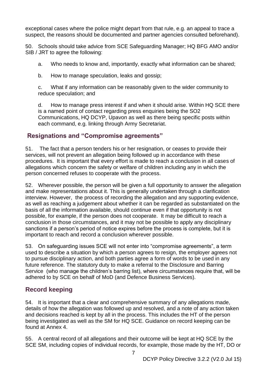exceptional cases where the police might depart from that rule, e.g. an appeal to trace a suspect, the reasons should be documented and partner agencies consulted beforehand).

50. Schools should take advice from SCE Safeguarding Manager; HQ BFG AMO and/or SIB / JRT to agree the following:

a. Who needs to know and, importantly, exactly what information can be shared;

b. How to manage speculation, leaks and gossip;

c. What if any information can be reasonably given to the wider community to reduce speculation; and

d. How to manage press interest if and when it should arise. Within HQ SCE there is a named point of contact regarding press enquiries being the SO2 Communications, HQ DCYP, Upavon as well as there being specific posts within each command, e.g. linking through Army Secretariat.

#### <span id="page-10-0"></span>**Resignations and "Compromise agreements"**

51. The fact that a person tenders his or her resignation, or ceases to provide their services, will not prevent an allegation being followed up in accordance with these procedures. It is important that every effort is made to reach a conclusion in all cases of allegations which concern the safety or welfare of children including any in which the person concerned refuses to cooperate with the process.

52. Wherever possible, the person will be given a full opportunity to answer the allegation and make representations about it. This is generally undertaken through a clarification interview. However, the process of recording the allegation and any supporting evidence, as well as reaching a judgement about whether it can be regarded as substantiated on the basis of all the information available, should continue even if that opportunity is not possible, for example, if the person does not cooperate. It may be difficult to reach a conclusion in those circumstances, and it may not be possible to apply any disciplinary sanctions if a person's period of notice expires before the process is complete, but it is important to reach and record a conclusion wherever possible.

53. On safeguarding issues SCE will not enter into "compromise agreements", a term used to describe a situation by which a person agrees to resign, the employer agrees not to pursue disciplinary action, and both parties agree a form of words to be used in any future reference. The statutory duty to make a referral to the Disclosure and Barring Service (who manage the children's barring list), where circumstances require that, will be adhered to by SCE on behalf of MoD (and Defence Business Services).

## <span id="page-10-1"></span>**Record keeping**

54. It is important that a clear and comprehensive summary of any allegations made, details of how the allegation was followed up and resolved, and a note of any action taken and decisions reached is kept by all in the process. This includes the HT of the person being investigated as well as the SM for HQ SCE. Guidance on record keeping can be found at Annex 4.

55. A central record of all allegations and their outcome will be kept at HQ SCE by the SCE SM, including copies of individual records, for example, those made by the HT, DO or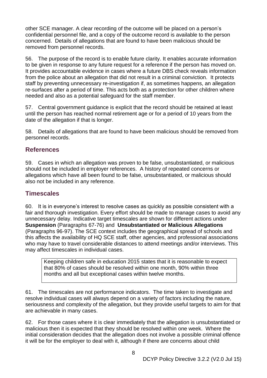other SCE manager. A clear recording of the outcome will be placed on a person's confidential personnel file, and a copy of the outcome record is available to the person concerned. Details of allegations that are found to have been malicious should be removed from personnel records.

56. The purpose of the record is to enable future clarity. It enables accurate information to be given in response to any future request for a reference if the person has moved on. It provides accountable evidence in cases where a future DBS check reveals information from the police about an allegation that did not result in a criminal conviction. It protects staff by preventing unnecessary re-investigation if, as sometimes happens, an allegation re-surfaces after a period of time. This acts both as a protection for other children where needed and also as a potential safeguard for the staff member.

57. Central government guidance is explicit that the record should be retained at least until the person has reached normal retirement age or for a period of 10 years from the date of the allegation if that is longer.

58. Details of allegations that are found to have been malicious should be removed from personnel records.

#### <span id="page-11-0"></span>**References**

59. Cases in which an allegation was proven to be false, unsubstantiated, or malicious should not be included in employer references. A history of repeated concerns or allegations which have all been found to be false, unsubstantiated, or malicious should also not be included in any reference.

#### <span id="page-11-1"></span>**Timescales**

60. It is in everyone's interest to resolve cases as quickly as possible consistent with a fair and thorough investigation. Every effort should be made to manage cases to avoid any unnecessary delay. Indicative target timescales are shown for different actions under **Suspension** (Paragraphs 67-76) and **Unsubstantiated or Malicious Allegations** (Paragraphs 96-97). The SCE context includes the geographical spread of schools and this affects the availability of HQ SCE staff, other agencies, and professional associations who may have to travel considerable distances to attend meetings and/or interviews. This may affect timescales in individual cases.

Keeping children safe in education 2015 states that it is reasonable to expect that 80% of cases should be resolved within one month, 90% within three months and all but exceptional cases within twelve months.

61. The timescales are not performance indicators. The time taken to investigate and resolve individual cases will always depend on a variety of factors including the nature, seriousness and complexity of the allegation, but they provide useful targets to aim for that are achievable in many cases.

62. For those cases where it is clear immediately that the allegation is unsubstantiated or malicious then it is expected that they should be resolved within one week. Where the initial consideration decides that the allegation does not involve a possible criminal offence it will be for the employer to deal with it, although if there are concerns about child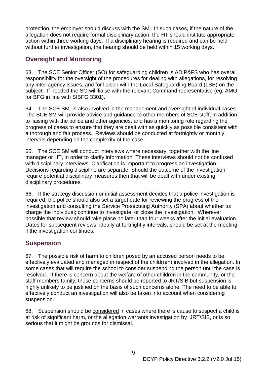protection, the employer should discuss with the SM. In such cases, if the nature of the allegation does not require formal disciplinary action, the HT should institute appropriate action within three working days. If a disciplinary hearing is required and can be held without further investigation, the hearing should be held within 15 working days.

#### <span id="page-12-0"></span>**Oversight and Monitoring**

63. The SCE Senior Officer (SO) for safeguarding children is AD P&FS who has overall responsibility for the oversight of the procedures for dealing with allegations, for resolving any inter-agency issues, and for liaison with the Local Safeguarding Board (LSB) on the subject. If needed the SO will liaise with the relevant Command representative (eg. AMO for BFG in line with SIBFG 3301).

64. The SCE SM is also involved in the management and oversight of individual cases. The SCE SM will provide advice and guidance to other members of SCE staff, in addition to liaising with the police and other agencies, and has a monitoring role regarding the progress of cases to ensure that they are dealt with as quickly as possible consistent with a thorough and fair process. Reviews should be conducted at fortnightly or monthly intervals depending on the complexity of the case.

65. The SCE SM will conduct interviews where necessary, together with the line manager or HT, in order to clarify information. These interviews should not be confused with disciplinary interviews. Clarification is important to progress an investigation. Decisions regarding discipline are separate. Should the outcome of the investigation require potential disciplinary measures then that will be dealt with under existing disciplinary procedures.

66. If the strategy discussion or initial assessment decides that a police investigation is required, the police should also set a target date for reviewing the progress of the investigation and consulting the Service Prosecuting Authority (SPA) about whether to: charge the individual; continue to investigate; or close the investigation. Wherever possible that review should take place no later than four weeks after the initial evaluation. Dates for subsequent reviews, ideally at fortnightly intervals, should be set at the meeting if the investigation continues.

#### <span id="page-12-1"></span>**Suspension**

67. The possible risk of harm to children posed by an accused person needs to be effectively evaluated and managed in respect of the child(ren) involved in the allegation. In some cases that will require the school to consider suspending the person until the case is resolved. If there is concern about the welfare of other children in the community, or the staff members family, those concerns should be reported to JRT/SIB but suspension is highly unlikely to be justified on the basis of such concerns alone. The need to be able to effectively conduct an investigation will also be taken into account when considering suspension.

68. Suspension should be considered in cases where there is cause to suspect a child is at risk of significant harm, or the allegation warrants investigation by JRT/SIB, or is so serious that it might be grounds for dismissal.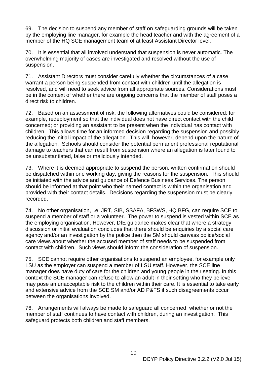69. The decision to suspend any member of staff on safeguarding grounds will be taken by the employing line manager, for example the head teacher and with the agreement of a member of the HQ SCE management team of at least Assistant Director level.

70. It is essential that all involved understand that suspension is never automatic. The overwhelming majority of cases are investigated and resolved without the use of suspension.

71. Assistant Directors must consider carefully whether the circumstances of a case warrant a person being suspended from contact with children until the allegation is resolved, and will need to seek advice from all appropriate sources. Considerations must be in the context of whether there are ongoing concerns that the member of staff poses a direct risk to children.

72. Based on an assessment of risk, the following alternatives could be considered: for example, redeployment so that the individual does not have direct contact with the child concerned; or providing an assistant to be present when the individual has contact with children. This allows time for an informed decision regarding the suspension and possibly reducing the initial impact of the allegation. This will, however, depend upon the nature of the allegation. Schools should consider the potential permanent professional reputational damage to teachers that can result from suspension where an allegation is later found to be unsubstantiated, false or maliciously intended.

73. Where it is deemed appropriate to suspend the person, written confirmation should be dispatched within one working day, giving the reasons for the suspension. This should be initiated with the advice and guidance of Defence Business Services. The person should be informed at that point who their named contact is within the organisation and provided with their contact details.Decisions regarding the suspension must be clearly recorded.

74. No other organisation, i.e. JRT, SIB, SSAFA, BFSWS, HQ BFG, can require SCE to suspend a member of staff or a volunteer. The power to suspend is vested within SCE as the employing organisation. However, DfE guidance makes clear that where a strategy discussion or initial evaluation concludes that there should be enquiries by a social care agency and/or an investigation by the police then the SM should canvass police/social care views about whether the accused member of staff needs to be suspended from contact with children. Such views should inform the consideration of suspension.

75. SCE cannot require other organisations to suspend an employee, for example only LSU as the employer can suspend a member of LSU staff. However, the SCE line manager does have duty of care for the children and young people in their setting. In this context the SCE manager can refuse to allow an adult in their setting who they believe may pose an unacceptable risk to the children within their care. It is essential to take early and extensive advice from the SCE SM and/or AD P&FS if such disagreements occur between the organisations involved.

76. Arrangements will always be made to safeguard all concerned, whether or not the member of staff continues to have contact with children, during an investigation. This safeguard protects both children and staff members.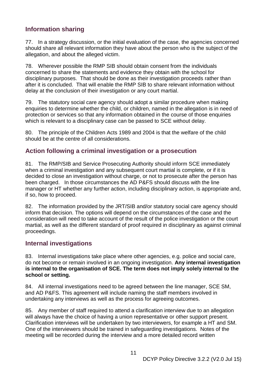## <span id="page-14-0"></span>**Information sharing**

77. In a strategy discussion, or the initial evaluation of the case, the agencies concerned should share all relevant information they have about the person who is the subject of the allegation, and about the alleged victim.

78. Wherever possible the RMP SIB should obtain consent from the individuals concerned to share the statements and evidence they obtain with the school for disciplinary purposes. That should be done as their investigation proceeds rather than after it is concluded. That will enable the RMP SIB to share relevant information without delay at the conclusion of their investigation or any court martial.

79. The statutory social care agency should adopt a similar procedure when making enquiries to determine whether the child, or children, named in the allegation is in need of protection or services so that any information obtained in the course of those enquiries which is relevant to a disciplinary case can be passed to SCE without delay.

80. The principle of the Children Acts 1989 and 2004 is that the welfare of the child should be at the centre of all considerations.

#### <span id="page-14-1"></span>**Action following a criminal investigation or a prosecution**

81. The RMP/SIB and Service Prosecuting Authority should inform SCE immediately when a criminal investigation and any subsequent court martial is complete, or if it is decided to close an investigation without charge, or not to prosecute after the person has been charged. In those circumstances the AD P&FS should discuss with the line manager or HT whether any further action, including disciplinary action, is appropriate and, if so, how to proceed.

82. The information provided by the JRT/SIB and/or statutory social care agency should inform that decision. The options will depend on the circumstances of the case and the consideration will need to take account of the result of the police investigation or the court martial, as well as the different standard of proof required in disciplinary as against criminal proceedings.

#### <span id="page-14-2"></span>**Internal investigations**

83. Internal investigations take place where other agencies, e.g. police and social care, do not become or remain involved in an ongoing investigation. **Any internal investigation is internal to the organisation of SCE. The term does not imply solely internal to the school or setting.**

84. All internal investigations need to be agreed between the line manager, SCE SM, and AD P&FS. This agreement will include naming the staff members involved in undertaking any interviews as well as the process for agreeing outcomes.

85. Any member of staff required to attend a clarification interview due to an allegation will always have the choice of having a union representative or other support present. Clarification interviews will be undertaken by two interviewers, for example a HT and SM. One of the interviewers should be trained in safeguarding investigations. Notes of the meeting will be recorded during the interview and a more detailed record written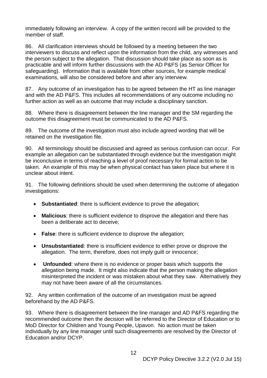immediately following an interview. A copy of the written record will be provided to the member of staff.

86. All clarification interviews should be followed by a meeting between the two interviewers to discuss and reflect upon the information from the child, any witnesses and the person subject to the allegation. That discussion should take place as soon as is practicable and will inform further discussions with the AD P&FS (as Senior Officer for safeguarding). Information that is available from other sources, for example medical examinations, will also be considered before and after any interview.

87. Any outcome of an investigation has to be agreed between the HT as line manager and with the AD P&FS. This includes all recommendations of any outcome including no further action as well as an outcome that may include a disciplinary sanction.

88. Where there is disagreement between the line manager and the SM regarding the outcome this disagreement must be communicated to the AD P&FS.

89. The outcome of the investigation must also include agreed wording that will be retained on the investigation file.

90. All terminology should be discussed and agreed as serious confusion can occur. For example an allegation can be substantiated through evidence but the investigation might be inconclusive in terms of reaching a level of proof necessary for formal action to be taken. An example of this may be when physical contact has taken place but where it is unclear about intent.

91. The following definitions should be used when determining the outcome of allegation investigations:

- **Substantiated**: there is sufficient evidence to prove the allegation;
- **Malicious**: there is sufficient evidence to disprove the allegation and there has been a deliberate act to deceive;
- **False**: there is sufficient evidence to disprove the allegation;
- **Unsubstantiated**: there is insufficient evidence to either prove or disprove the allegation. The term, therefore, does not imply guilt or innocence;
- **Unfounded**: where there is no evidence or proper basis which supports the allegation being made. It might also indicate that the person making the allegation misinterpreted the incident or was mistaken about what they saw. Alternatively they may not have been aware of all the circumstances.

92. Any written confirmation of the outcome of an investigation must be agreed beforehand by the AD P&FS.

93. Where there is disagreement between the line manager and AD P&FS regarding the recommended outcome then the decision will be referred to the Director of Education or to MoD Director for Children and Young People, Upavon. No action must be taken individually by any line manager until such disagreements are resolved by the Director of Education and/or DCYP.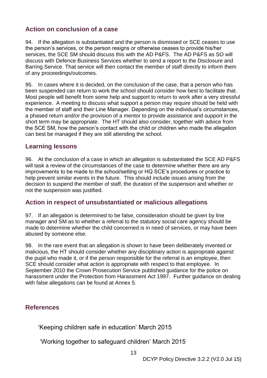### <span id="page-16-0"></span>**Action on conclusion of a case**

94. If the allegation is substantiated and the person is dismissed or SCE ceases to use the person's services, or the person resigns or otherwise ceases to provide his/her services, the SCE SM should discuss this with the AD P&FS. The AD P&FS as SO will discuss with Defence Business Services whether to send a report to the Disclosure and Barring Service. That service will then contact the member of staff directly to inform them of any proceedings/outcomes.

95. In cases where it is decided, on the conclusion of the case, that a person who has been suspended can return to work the school should consider how best to facilitate that. Most people will benefit from some help and support to return to work after a very stressful experience. A meeting to discuss what support a person may require should be held with the member of staff and their Line Manager. Depending on the individual's circumstances, a phased return and/or the provision of a mentor to provide assistance and support in the short term may be appropriate. The HT should also consider, together with advice from the SCE SM, how the person's contact with the child or children who made the allegation can best be managed if they are still attending the school.

#### <span id="page-16-1"></span>**Learning lessons**

96. At the conclusion of a case in which an allegation is substantiated the SCE AD P&FS will task a review of the circumstances of the case to determine whether there are any improvements to be made to the school/setting or HQ SCE's procedures or practice to help prevent similar events in the future. This should include issues arising from the decision to suspend the member of staff, the duration of the suspension and whether or not the suspension was justified.

#### <span id="page-16-2"></span>**Action in respect of unsubstantiated or malicious allegations**

97. If an allegation is determined to be false, consideration should be given by line manager and SM as to whether a referral to the statutory social care agency should be made to determine whether the child concerned is in need of services, or may have been abused by someone else.

98. In the rare event that an allegation is shown to have been deliberately invented or malicious, the HT should consider whether any disciplinary action is appropriate against the pupil who made it, or if the person responsible for the referral is an employee, then SCE should consider what action is appropriate with respect to that employee. In September 2010 the Crown Prosecution Service published guidance for the police on harassment under the Protection from Harassment Act 1997.Further guidance on dealing with false allegations can be found at Annex 5.

#### <span id="page-16-3"></span>**References**

'Keeping children safe in education' March 2015

'Working together to safeguard children' March 2015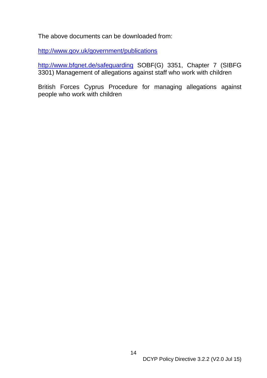The above documents can be downloaded from:

http://www.gov.uk/government/publications

<http://www.bfgnet.de/safeguarding> SOBF(G) 3351, Chapter 7 (SIBFG 3301) Management of allegations against staff who work with children

British Forces Cyprus Procedure for managing allegations against people who work with children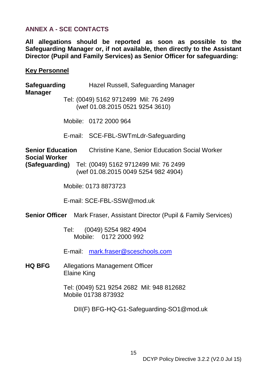### <span id="page-18-0"></span>**ANNEX A - SCE CONTACTS**

**All allegations should be reported as soon as possible to the Safeguarding Manager or, if not available, then directly to the Assistant Director (Pupil and Family Services) as Senior Officer for safeguarding:** 

#### **Key Personnel**

| Safeguarding<br><b>Manager</b>                                                  |                                                                  | Hazel Russell, Safeguarding Manager                                                                |
|---------------------------------------------------------------------------------|------------------------------------------------------------------|----------------------------------------------------------------------------------------------------|
|                                                                                 |                                                                  | Tel: (0049) 5162 9712499 Mil: 76 2499<br>(wef 01.08.2015 0521 9254 3610)                           |
|                                                                                 |                                                                  | Mobile: 0172 2000 964                                                                              |
|                                                                                 |                                                                  | E-mail: SCE-FBL-SWTmLdr-Safeguarding                                                               |
| <b>Senior Education</b><br><b>Social Worker</b>                                 |                                                                  | <b>Christine Kane, Senior Education Social Worker</b>                                              |
|                                                                                 |                                                                  | <b>(Safeguarding)</b> Tel: (0049) 5162 9712499 Mil: 76 2499<br>(wef 01.08.2015 0049 5254 982 4904) |
|                                                                                 |                                                                  | Mobile: 0173 8873723                                                                               |
|                                                                                 |                                                                  | E-mail: SCE-FBL-SSW@mod.uk                                                                         |
| <b>Senior Officer</b> Mark Fraser, Assistant Director (Pupil & Family Services) |                                                                  |                                                                                                    |
|                                                                                 |                                                                  | Tel: (0049) 5254 982 4904<br>Mobile: 0172 2000 992                                                 |
|                                                                                 |                                                                  | E-mail: mark.fraser@sceschools.com                                                                 |
| <b>HQ BFG</b>                                                                   | <b>Allegations Management Officer</b><br><b>Elaine King</b>      |                                                                                                    |
|                                                                                 | Tel: (0049) 521 9254 2682 Mil: 948 812682<br>Mobile 01738 873932 |                                                                                                    |
|                                                                                 |                                                                  | DII(F) BFG-HQ-G1-Safeguarding-SO1@mod.uk                                                           |
|                                                                                 |                                                                  |                                                                                                    |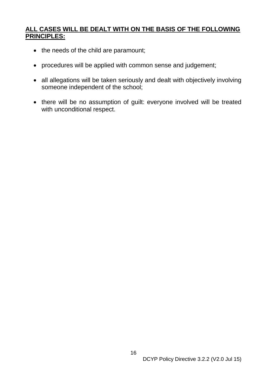### **ALL CASES WILL BE DEALT WITH ON THE BASIS OF THE FOLLOWING PRINCIPLES:**

- the needs of the child are paramount;
- procedures will be applied with common sense and judgement;
- all allegations will be taken seriously and dealt with objectively involving someone independent of the school;
- there will be no assumption of guilt: everyone involved will be treated with unconditional respect.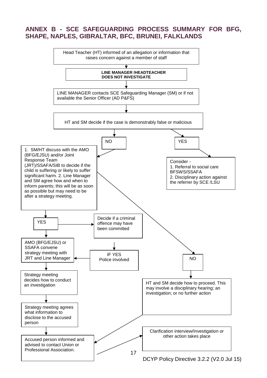#### <span id="page-20-0"></span>**ANNEX B - SCE SAFEGUARDING PROCESS SUMMARY FOR BFG, SHAPE, NAPLES, GIBRALTAR, BFC, BRUNEI, FALKLANDS**

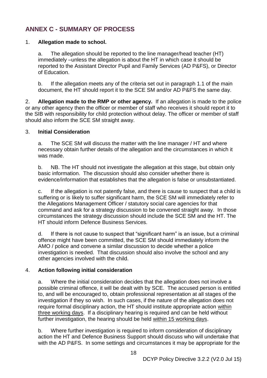## <span id="page-21-0"></span>**ANNEX C - SUMMARY OF PROCESS**

#### 1. **Allegation made to school.**

a. The allegation should be reported to the line manager/head teacher (HT) immediately –unless the allegation is about the HT in which case it should be reported to the Assistant Director Pupil and Family Services (AD P&FS), or Director of Education.

b. If the allegation meets any of the criteria set out in paragraph 1.1 of the main document, the HT should report it to the SCE SM and/or AD P&FS the same day.

2. **Allegation made to the RMP or other agency.** If an allegation is made to the police or any other agency then the officer or member of staff who receives it should report it to the SIB with responsibility for child protection without delay. The officer or member of staff should also inform the SCE SM straight away.

#### 3. **Initial Consideration**

a. The SCE SM will discuss the matter with the line manager / HT and where necessary obtain further details of the allegation and the circumstances in which it was made.

b. NB. The HT should not investigate the allegation at this stage, but obtain only basic information. The discussion should also consider whether there is evidence/information that establishes that the allegation is false or unsubstantiated.

c. If the allegation is not patently false, and there is cause to suspect that a child is suffering or is likely to suffer significant harm, the SCE SM will immediately refer to the Allegations Management Officer / statutory social care agencies for that command and ask for a strategy discussion to be convened straight away. In those circumstances the strategy discussion should include the SCE SM and the HT. The HT should inform Defence Business Services.

d. If there is not cause to suspect that "significant harm" is an issue, but a criminal offence might have been committed, the SCE SM should immediately inform the AMO / police and convene a similar discussion to decide whether a police investigation is needed. That discussion should also involve the school and any other agencies involved with the child.

#### 4. **Action following initial consideration**

a. Where the initial consideration decides that the allegation does not involve a possible criminal offence, it will be dealt with by SCE. The accused person is entitled to, and will be encouraged to, obtain professional representation at all stages of the investigation if they so wish. In such cases, if the nature of the allegation does not require formal disciplinary action, the HT should institute appropriate action within three working days. If a disciplinary hearing is required and can be held without further investigation, the hearing should be held within 15 working days.

b. Where further investigation is required to inform consideration of disciplinary action the HT and Defence Business Support should discuss who will undertake that with the AD P&FS. In some settings and circumstances it may be appropriate for the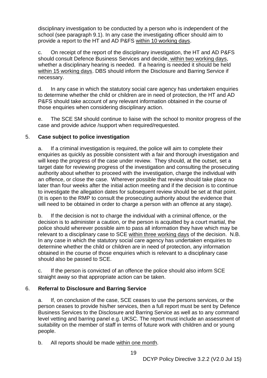disciplinary investigation to be conducted by a person who is independent of the school (see paragraph 9.1). In any case the investigating officer should aim to provide a report to the HT and AD P&FS within 10 working days.

c. On receipt of the report of the disciplinary investigation, the HT and AD P&FS should consult Defence Business Services and decide, within two working days, whether a disciplinary hearing is needed. If a hearing is needed it should be held within 15 working days. DBS should inform the Disclosure and Barring Service if necessary.

d. In any case in which the statutory social care agency has undertaken enquiries to determine whether the child or children are in need of protection, the HT and AD P&FS should take account of any relevant information obtained in the course of those enquiries when considering disciplinary action.

e. The SCE SM should continue to liaise with the school to monitor progress of the case and provide advice /support when required/requested.

#### 5. **Case subject to police investigation**

a. If a criminal investigation is required, the police will aim to complete their enquiries as quickly as possible consistent with a fair and thorough investigation and will keep the progress of the case under review. They should, at the outset, set a target date for reviewing progress of the investigation and consulting the prosecuting authority about whether to proceed with the investigation, charge the individual with an offence, or close the case. Wherever possible that review should take place no later than four weeks after the initial action meeting and if the decision is to continue to investigate the allegation dates for subsequent review should be set at that point. (It is open to the RMP to consult the prosecuting authority about the evidence that will need to be obtained in order to charge a person with an offence at any stage).

b. If the decision is not to charge the individual with a criminal offence, or the decision is to administer a caution, or the person is acquitted by a court martial, the police should wherever possible aim to pass all information they have which may be relevant to a disciplinary case to SCE within three working days of the decision. N.B. In any case in which the statutory social care agency has undertaken enquiries to determine whether the child or children are in need of protection, any information obtained in the course of those enquiries which is relevant to a disciplinary case should also be passed to SCE.

c. If the person is convicted of an offence the police should also inform SCE straight away so that appropriate action can be taken.

#### 6. **Referral to Disclosure and Barring Service**

a. If, on conclusion of the case, SCE ceases to use the persons services, or the person ceases to provide his/her services, then a full report must be sent by Defence Business Services to the Disclosure and Barring Service as well as to any command level vetting and barring panel e.g. UKSC. The report must include an assessment of suitability on the member of staff in terms of future work with children and or young people.

b. All reports should be made within one month.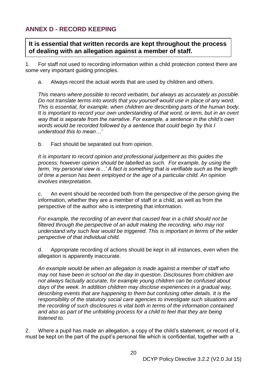## <span id="page-23-0"></span>**ANNEX D - RECORD KEEPING**

**It is essential that written records are kept throughout the process of dealing with an allegation against a member of staff.**

1. For staff not used to recording information within a child protection context there are some very important guiding principles.

a. Always record the actual words that are used by children and others.

*This means where possible to record verbatim, but always as accurately as possible. Do not translate terms into words that you yourself would use in place of any word. This is essential, for example, when children are describing parts of the human body. It is important to record your own understanding of that word, or term, but in an overt way that is separate from the narrative. For example, a sentence in the child's own words would be recorded followed by a sentence that could begin 'by this I understood this to mean…'*

b. Fact should be separated out from opinion.

*It is important to record opinion and professional judgement as this guides the process; however opinion should be labelled as such. For example, by using the term, 'my personal view is…' A fact is something that is verifiable such as the length of time a person has been employed or the age of a particular child. An opinion involves interpretation.*

c. An event should be recorded both from the perspective of the person giving the information, whether they are a member of staff or a child, as well as from the perspective of the author who is interpreting that information.

*For example, the recording of an event that caused fear in a child should not be filtered through the perspective of an adult making the recording, who may not understand why such fear would be triggered. This is important in terms of the wider perspective of that individual child.*

d. Appropriate recording of actions should be kept in all instances, even when the allegation is apparently inaccurate.

*An example would be when an allegation is made against a member of staff who may not have been in school on the day in question. Disclosures from children are not always factually accurate, for example young children can be confused about days of the week. In addition children may disclose experiences in a gradual way, describing events that are happening to them but confusing other details. It is the responsibility of the statutory social care agencies to investigate such situations and the recording of such disclosures is vital both in terms of the information contained*  and also as part of the unfolding process for a child to feel that they are being *listened to.* 

2. Where a pupil has made an allegation, a copy of the child's statement, or record of it, must be kept on the part of the pupil's personal file which is confidential, together with a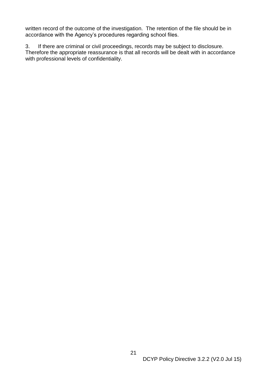written record of the outcome of the investigation. The retention of the file should be in accordance with the Agency's procedures regarding school files.

3. If there are criminal or civil proceedings, records may be subject to disclosure. Therefore the appropriate reassurance is that all records will be dealt with in accordance with professional levels of confidentiality.